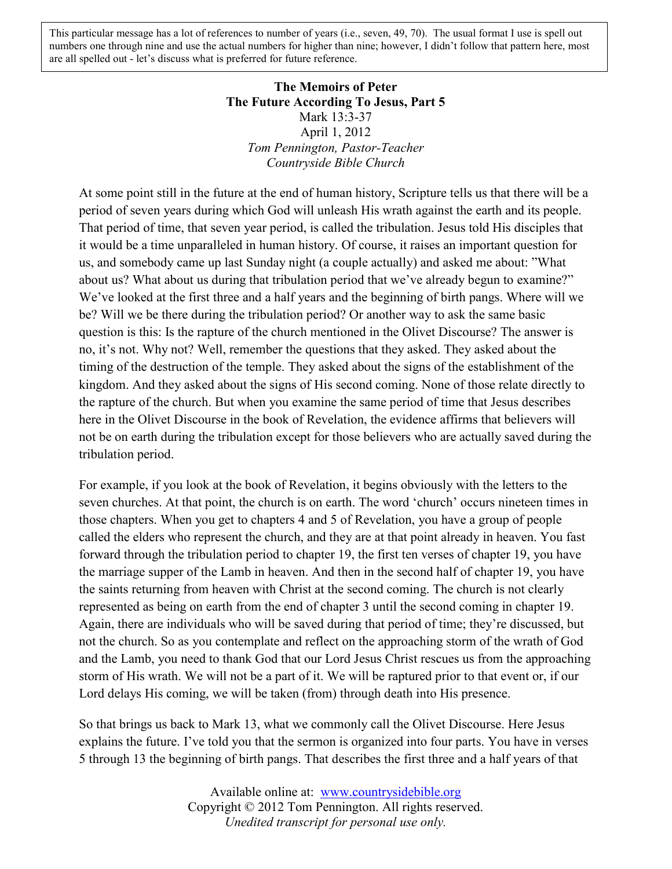This particular message has a lot of references to number of years (i.e., seven, 49, 70). The usual format I use is spell out numbers one through nine and use the actual numbers for higher than nine; however, I didn't follow that pattern here, most are all spelled out - let's discuss what is preferred for future reference.

## **The Memoirs of Peter The Future According To Jesus, Part 5** Mark 13:3-37 April 1, 2012 *Tom Pennington, Pastor-Teacher Countryside Bible Church*

At some point still in the future at the end of human history, Scripture tells us that there will be a period of seven years during which God will unleash His wrath against the earth and its people. That period of time, that seven year period, is called the tribulation. Jesus told His disciples that it would be a time unparalleled in human history. Of course, it raises an important question for us, and somebody came up last Sunday night (a couple actually) and asked me about: "What about us? What about us during that tribulation period that we've already begun to examine?" We've looked at the first three and a half years and the beginning of birth pangs. Where will we be? Will we be there during the tribulation period? Or another way to ask the same basic question is this: Is the rapture of the church mentioned in the Olivet Discourse? The answer is no, it's not. Why not? Well, remember the questions that they asked. They asked about the timing of the destruction of the temple. They asked about the signs of the establishment of the kingdom. And they asked about the signs of His second coming. None of those relate directly to the rapture of the church. But when you examine the same period of time that Jesus describes here in the Olivet Discourse in the book of Revelation, the evidence affirms that believers will not be on earth during the tribulation except for those believers who are actually saved during the tribulation period.

For example, if you look at the book of Revelation, it begins obviously with the letters to the seven churches. At that point, the church is on earth. The word 'church' occurs nineteen times in those chapters. When you get to chapters 4 and 5 of Revelation, you have a group of people called the elders who represent the church, and they are at that point already in heaven. You fast forward through the tribulation period to chapter 19, the first ten verses of chapter 19, you have the marriage supper of the Lamb in heaven. And then in the second half of chapter 19, you have the saints returning from heaven with Christ at the second coming. The church is not clearly represented as being on earth from the end of chapter 3 until the second coming in chapter 19. Again, there are individuals who will be saved during that period of time; they're discussed, but not the church. So as you contemplate and reflect on the approaching storm of the wrath of God and the Lamb, you need to thank God that our Lord Jesus Christ rescues us from the approaching storm of His wrath. We will not be a part of it. We will be raptured prior to that event or, if our Lord delays His coming, we will be taken (from) through death into His presence.

So that brings us back to Mark 13, what we commonly call the Olivet Discourse. Here Jesus explains the future. I've told you that the sermon is organized into four parts. You have in verses 5 through 13 the beginning of birth pangs. That describes the first three and a half years of that

> Available online at: [www.countrysidebible.org](http://www.countrysidebible.org/) Copyright © 2012 Tom Pennington. All rights reserved. *Unedited transcript for personal use only.*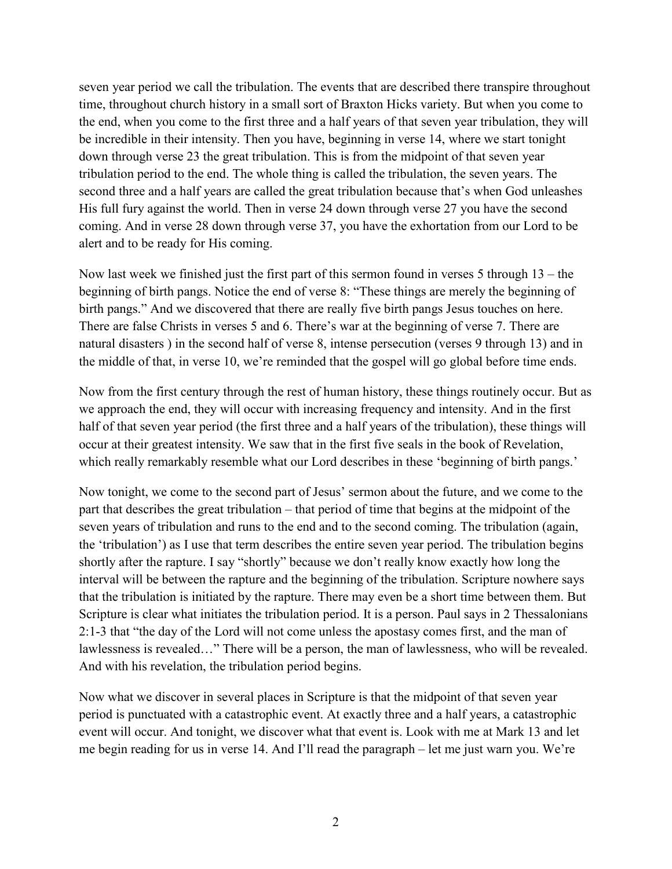seven year period we call the tribulation. The events that are described there transpire throughout time, throughout church history in a small sort of Braxton Hicks variety. But when you come to the end, when you come to the first three and a half years of that seven year tribulation, they will be incredible in their intensity. Then you have, beginning in verse 14, where we start tonight down through verse 23 the great tribulation. This is from the midpoint of that seven year tribulation period to the end. The whole thing is called the tribulation, the seven years. The second three and a half years are called the great tribulation because that's when God unleashes His full fury against the world. Then in verse 24 down through verse 27 you have the second coming. And in verse 28 down through verse 37, you have the exhortation from our Lord to be alert and to be ready for His coming.

Now last week we finished just the first part of this sermon found in verses 5 through 13 – the beginning of birth pangs. Notice the end of verse 8: "These things are merely the beginning of birth pangs." And we discovered that there are really five birth pangs Jesus touches on here. There are false Christs in verses 5 and 6. There's war at the beginning of verse 7. There are natural disasters ) in the second half of verse 8, intense persecution (verses 9 through 13) and in the middle of that, in verse 10, we're reminded that the gospel will go global before time ends.

Now from the first century through the rest of human history, these things routinely occur. But as we approach the end, they will occur with increasing frequency and intensity. And in the first half of that seven year period (the first three and a half years of the tribulation), these things will occur at their greatest intensity. We saw that in the first five seals in the book of Revelation, which really remarkably resemble what our Lord describes in these 'beginning of birth pangs.'

Now tonight, we come to the second part of Jesus' sermon about the future, and we come to the part that describes the great tribulation – that period of time that begins at the midpoint of the seven years of tribulation and runs to the end and to the second coming. The tribulation (again, the 'tribulation') as I use that term describes the entire seven year period. The tribulation begins shortly after the rapture. I say "shortly" because we don't really know exactly how long the interval will be between the rapture and the beginning of the tribulation. Scripture nowhere says that the tribulation is initiated by the rapture. There may even be a short time between them. But Scripture is clear what initiates the tribulation period. It is a person. Paul says in 2 Thessalonians 2:1-3 that "the day of the Lord will not come unless the apostasy comes first, and the man of lawlessness is revealed…" There will be a person, the man of lawlessness, who will be revealed. And with his revelation, the tribulation period begins.

Now what we discover in several places in Scripture is that the midpoint of that seven year period is punctuated with a catastrophic event. At exactly three and a half years, a catastrophic event will occur. And tonight, we discover what that event is. Look with me at Mark 13 and let me begin reading for us in verse 14. And I'll read the paragraph – let me just warn you. We're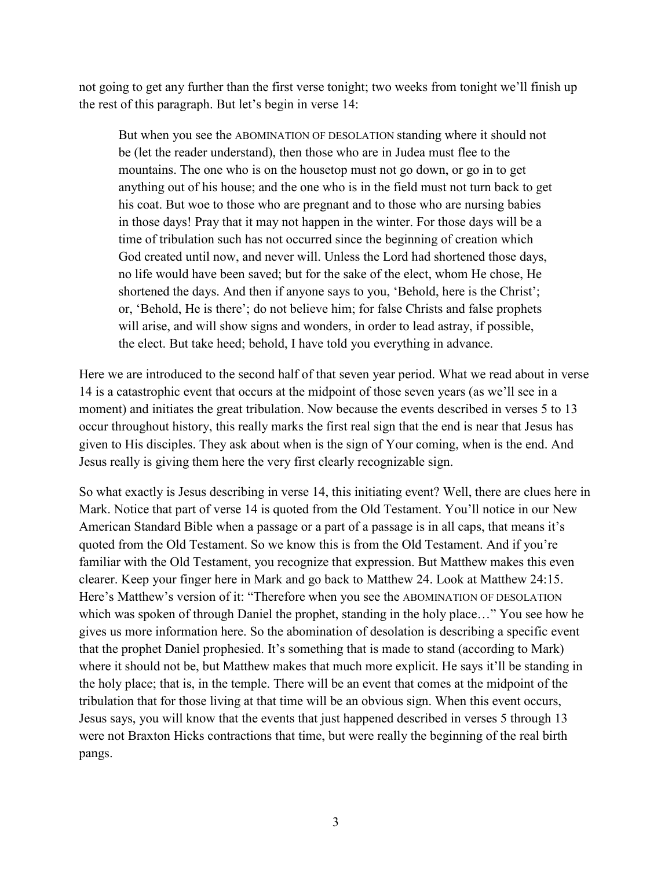not going to get any further than the first verse tonight; two weeks from tonight we'll finish up the rest of this paragraph. But let's begin in verse 14:

But when you see the ABOMINATION OF DESOLATION standing where it should not be (let the reader understand), then those who are in Judea must flee to the mountains. The one who is on the housetop must not go down, or go in to get anything out of his house; and the one who is in the field must not turn back to get his coat. But woe to those who are pregnant and to those who are nursing babies in those days! Pray that it may not happen in the winter. For those days will be a time of tribulation such has not occurred since the beginning of creation which God created until now, and never will. Unless the Lord had shortened those days, no life would have been saved; but for the sake of the elect, whom He chose, He shortened the days. And then if anyone says to you, 'Behold, here is the Christ'; or, 'Behold, He is there'; do not believe him; for false Christs and false prophets will arise, and will show signs and wonders, in order to lead astray, if possible, the elect. But take heed; behold, I have told you everything in advance.

Here we are introduced to the second half of that seven year period. What we read about in verse 14 is a catastrophic event that occurs at the midpoint of those seven years (as we'll see in a moment) and initiates the great tribulation. Now because the events described in verses 5 to 13 occur throughout history, this really marks the first real sign that the end is near that Jesus has given to His disciples. They ask about when is the sign of Your coming, when is the end. And Jesus really is giving them here the very first clearly recognizable sign.

So what exactly is Jesus describing in verse 14, this initiating event? Well, there are clues here in Mark. Notice that part of verse 14 is quoted from the Old Testament. You'll notice in our New American Standard Bible when a passage or a part of a passage is in all caps, that means it's quoted from the Old Testament. So we know this is from the Old Testament. And if you're familiar with the Old Testament, you recognize that expression. But Matthew makes this even clearer. Keep your finger here in Mark and go back to Matthew 24. Look at Matthew 24:15. Here's Matthew's version of it: "Therefore when you see the ABOMINATION OF DESOLATION which was spoken of through Daniel the prophet, standing in the holy place…" You see how he gives us more information here. So the abomination of desolation is describing a specific event that the prophet Daniel prophesied. It's something that is made to stand (according to Mark) where it should not be, but Matthew makes that much more explicit. He says it'll be standing in the holy place; that is, in the temple. There will be an event that comes at the midpoint of the tribulation that for those living at that time will be an obvious sign. When this event occurs, Jesus says, you will know that the events that just happened described in verses 5 through 13 were not Braxton Hicks contractions that time, but were really the beginning of the real birth pangs.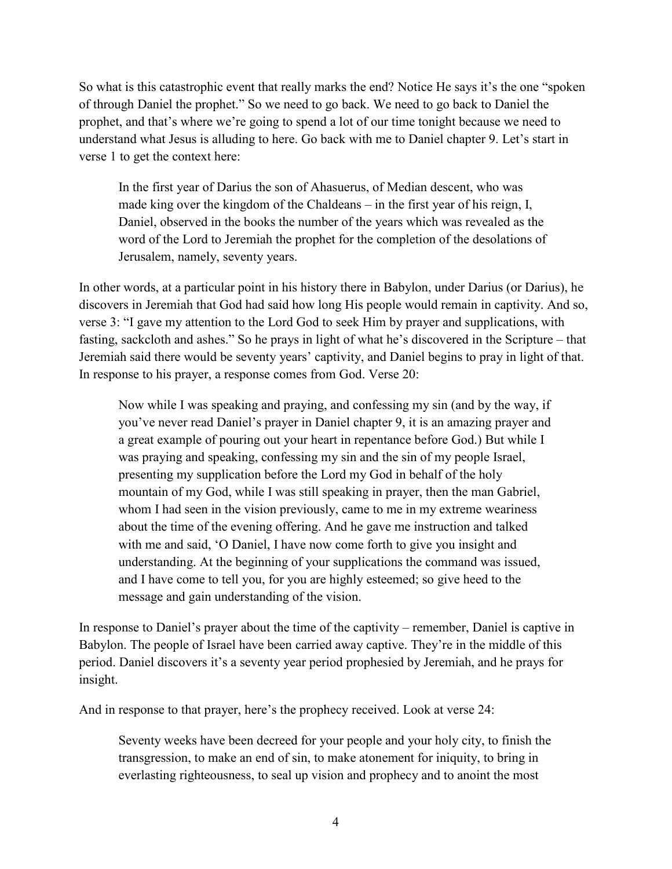So what is this catastrophic event that really marks the end? Notice He says it's the one "spoken of through Daniel the prophet." So we need to go back. We need to go back to Daniel the prophet, and that's where we're going to spend a lot of our time tonight because we need to understand what Jesus is alluding to here. Go back with me to Daniel chapter 9. Let's start in verse 1 to get the context here:

In the first year of Darius the son of Ahasuerus, of Median descent, who was made king over the kingdom of the Chaldeans – in the first year of his reign, I, Daniel, observed in the books the number of the years which was revealed as the word of the Lord to Jeremiah the prophet for the completion of the desolations of Jerusalem, namely, seventy years.

In other words, at a particular point in his history there in Babylon, under Darius (or Darius), he discovers in Jeremiah that God had said how long His people would remain in captivity. And so, verse 3: "I gave my attention to the Lord God to seek Him by prayer and supplications, with fasting, sackcloth and ashes." So he prays in light of what he's discovered in the Scripture – that Jeremiah said there would be seventy years' captivity, and Daniel begins to pray in light of that. In response to his prayer, a response comes from God. Verse 20:

Now while I was speaking and praying, and confessing my sin (and by the way, if you've never read Daniel's prayer in Daniel chapter 9, it is an amazing prayer and a great example of pouring out your heart in repentance before God.) But while I was praying and speaking, confessing my sin and the sin of my people Israel, presenting my supplication before the Lord my God in behalf of the holy mountain of my God, while I was still speaking in prayer, then the man Gabriel, whom I had seen in the vision previously, came to me in my extreme weariness about the time of the evening offering. And he gave me instruction and talked with me and said, 'O Daniel, I have now come forth to give you insight and understanding. At the beginning of your supplications the command was issued, and I have come to tell you, for you are highly esteemed; so give heed to the message and gain understanding of the vision.

In response to Daniel's prayer about the time of the captivity – remember, Daniel is captive in Babylon. The people of Israel have been carried away captive. They're in the middle of this period. Daniel discovers it's a seventy year period prophesied by Jeremiah, and he prays for insight.

And in response to that prayer, here's the prophecy received. Look at verse 24:

Seventy weeks have been decreed for your people and your holy city, to finish the transgression, to make an end of sin, to make atonement for iniquity, to bring in everlasting righteousness, to seal up vision and prophecy and to anoint the most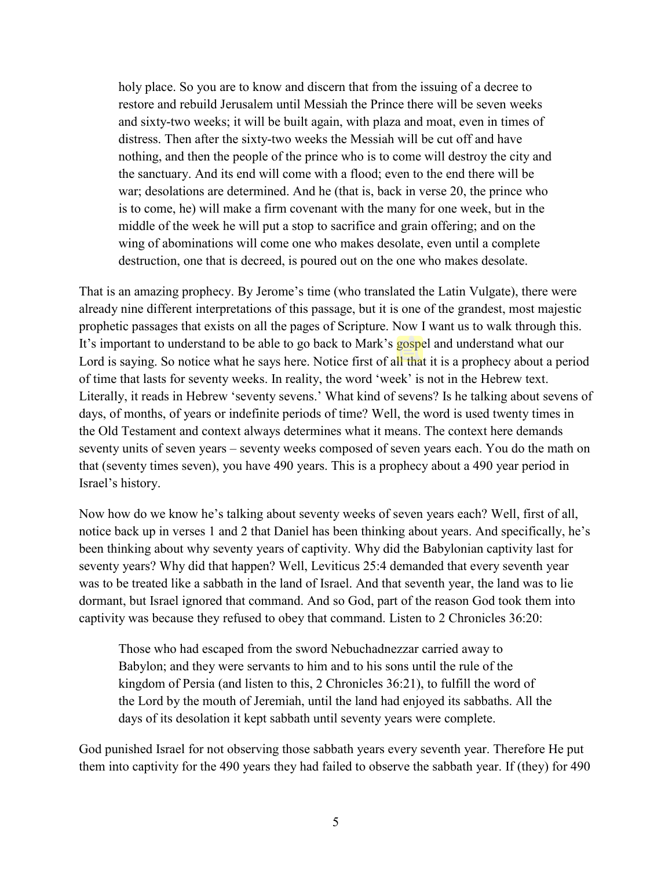holy place. So you are to know and discern that from the issuing of a decree to restore and rebuild Jerusalem until Messiah the Prince there will be seven weeks and sixty-two weeks; it will be built again, with plaza and moat, even in times of distress. Then after the sixty-two weeks the Messiah will be cut off and have nothing, and then the people of the prince who is to come will destroy the city and the sanctuary. And its end will come with a flood; even to the end there will be war; desolations are determined. And he (that is, back in verse 20, the prince who is to come, he) will make a firm covenant with the many for one week, but in the middle of the week he will put a stop to sacrifice and grain offering; and on the wing of abominations will come one who makes desolate, even until a complete destruction, one that is decreed, is poured out on the one who makes desolate.

That is an amazing prophecy. By Jerome's time (who translated the Latin Vulgate), there were already nine different interpretations of this passage, but it is one of the grandest, most majestic prophetic passages that exists on all the pages of Scripture. Now I want us to walk through this. It's important to understand to be able to go back to Mark's gospel and understand what our Lord is saying. So notice what he says here. Notice first of all that it is a prophecy about a period of time that lasts for seventy weeks. In reality, the word 'week' is not in the Hebrew text. Literally, it reads in Hebrew 'seventy sevens.' What kind of sevens? Is he talking about sevens of days, of months, of years or indefinite periods of time? Well, the word is used twenty times in the Old Testament and context always determines what it means. The context here demands seventy units of seven years – seventy weeks composed of seven years each. You do the math on that (seventy times seven), you have 490 years. This is a prophecy about a 490 year period in Israel's history.

Now how do we know he's talking about seventy weeks of seven years each? Well, first of all, notice back up in verses 1 and 2 that Daniel has been thinking about years. And specifically, he's been thinking about why seventy years of captivity. Why did the Babylonian captivity last for seventy years? Why did that happen? Well, Leviticus 25:4 demanded that every seventh year was to be treated like a sabbath in the land of Israel. And that seventh year, the land was to lie dormant, but Israel ignored that command. And so God, part of the reason God took them into captivity was because they refused to obey that command. Listen to 2 Chronicles 36:20:

Those who had escaped from the sword Nebuchadnezzar carried away to Babylon; and they were servants to him and to his sons until the rule of the kingdom of Persia (and listen to this, 2 Chronicles 36:21), to fulfill the word of the Lord by the mouth of Jeremiah, until the land had enjoyed its sabbaths. All the days of its desolation it kept sabbath until seventy years were complete.

God punished Israel for not observing those sabbath years every seventh year. Therefore He put them into captivity for the 490 years they had failed to observe the sabbath year. If (they) for 490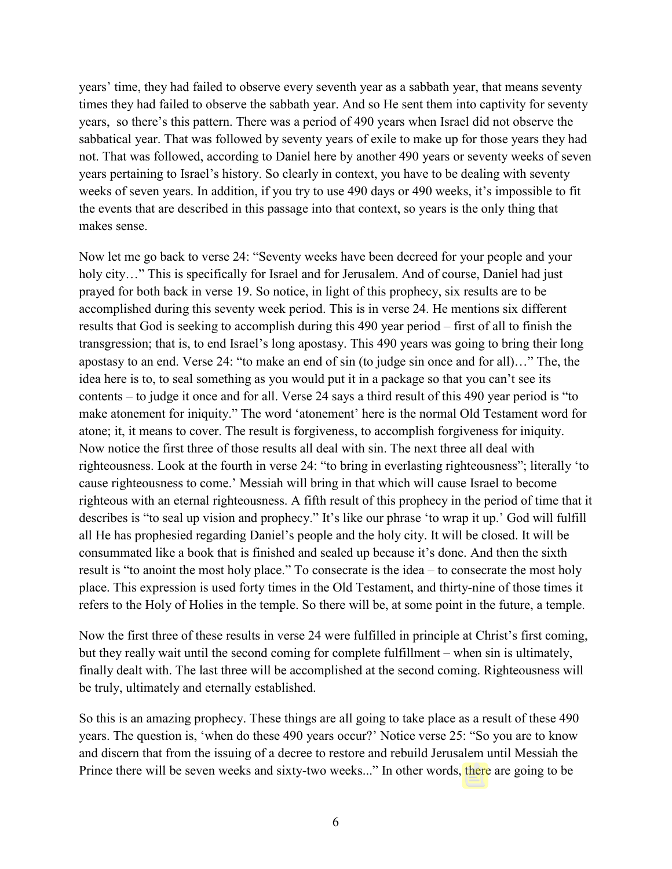years' time, they had failed to observe every seventh year as a sabbath year, that means seventy times they had failed to observe the sabbath year. And so He sent them into captivity for seventy years, so there's this pattern. There was a period of 490 years when Israel did not observe the sabbatical year. That was followed by seventy years of exile to make up for those years they had not. That was followed, according to Daniel here by another 490 years or seventy weeks of seven years pertaining to Israel's history. So clearly in context, you have to be dealing with seventy weeks of seven years. In addition, if you try to use 490 days or 490 weeks, it's impossible to fit the events that are described in this passage into that context, so years is the only thing that makes sense.

Now let me go back to verse 24: "Seventy weeks have been decreed for your people and your holy city..." This is specifically for Israel and for Jerusalem. And of course, Daniel had just prayed for both back in verse 19. So notice, in light of this prophecy, six results are to be accomplished during this seventy week period. This is in verse 24. He mentions six different results that God is seeking to accomplish during this 490 year period – first of all to finish the transgression; that is, to end Israel's long apostasy. This 490 years was going to bring their long apostasy to an end. Verse 24: "to make an end of sin (to judge sin once and for all)…" The, the idea here is to, to seal something as you would put it in a package so that you can't see its contents – to judge it once and for all. Verse 24 says a third result of this 490 year period is "to make atonement for iniquity." The word 'atonement' here is the normal Old Testament word for atone; it, it means to cover. The result is forgiveness, to accomplish forgiveness for iniquity. Now notice the first three of those results all deal with sin. The next three all deal with righteousness. Look at the fourth in verse 24: "to bring in everlasting righteousness"; literally 'to cause righteousness to come.' Messiah will bring in that which will cause Israel to become righteous with an eternal righteousness. A fifth result of this prophecy in the period of time that it describes is "to seal up vision and prophecy." It's like our phrase 'to wrap it up.' God will fulfill all He has prophesied regarding Daniel's people and the holy city. It will be closed. It will be consummated like a book that is finished and sealed up because it's done. And then the sixth result is "to anoint the most holy place." To consecrate is the idea – to consecrate the most holy place. This expression is used forty times in the Old Testament, and thirty-nine of those times it refers to the Holy of Holies in the temple. So there will be, at some point in the future, a temple.

Now the first three of these results in verse 24 were fulfilled in principle at Christ's first coming, but they really wait until the second coming for complete fulfillment – when sin is ultimately, finally dealt with. The last three will be accomplished at the second coming. Righteousness will be truly, ultimately and eternally established.

So this is an amazing prophecy. These things are all going to take place as a result of these 490 years. The question is, 'when do these 490 years occur?' Notice verse 25: "So you are to know and discern that from the issuing of a decree to restore and rebuild Jerusalem until Messiah the Prince there will be seven weeks and sixty-two weeks..." In other words, there are going to be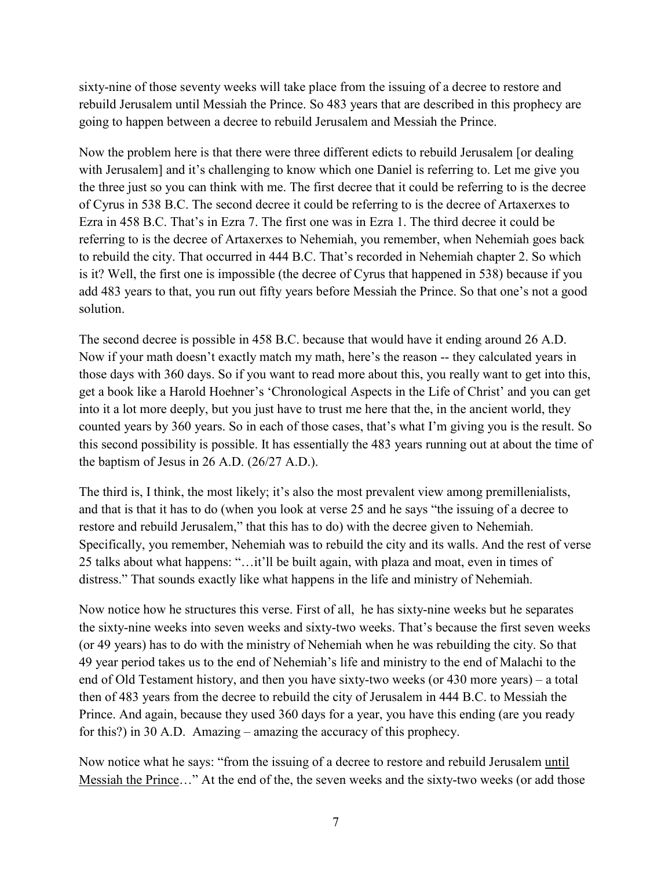sixty-nine of those seventy weeks will take place from the issuing of a decree to restore and rebuild Jerusalem until Messiah the Prince. So 483 years that are described in this prophecy are going to happen between a decree to rebuild Jerusalem and Messiah the Prince.

Now the problem here is that there were three different edicts to rebuild Jerusalem [or dealing with Jerusalem] and it's challenging to know which one Daniel is referring to. Let me give you the three just so you can think with me. The first decree that it could be referring to is the decree of Cyrus in 538 B.C. The second decree it could be referring to is the decree of Artaxerxes to Ezra in 458 B.C. That's in Ezra 7. The first one was in Ezra 1. The third decree it could be referring to is the decree of Artaxerxes to Nehemiah, you remember, when Nehemiah goes back to rebuild the city. That occurred in 444 B.C. That's recorded in Nehemiah chapter 2. So which is it? Well, the first one is impossible (the decree of Cyrus that happened in 538) because if you add 483 years to that, you run out fifty years before Messiah the Prince. So that one's not a good solution.

The second decree is possible in 458 B.C. because that would have it ending around 26 A.D. Now if your math doesn't exactly match my math, here's the reason -- they calculated years in those days with 360 days. So if you want to read more about this, you really want to get into this, get a book like a Harold Hoehner's 'Chronological Aspects in the Life of Christ' and you can get into it a lot more deeply, but you just have to trust me here that the, in the ancient world, they counted years by 360 years. So in each of those cases, that's what I'm giving you is the result. So this second possibility is possible. It has essentially the 483 years running out at about the time of the baptism of Jesus in 26 A.D. (26/27 A.D.).

The third is, I think, the most likely; it's also the most prevalent view among premillenialists, and that is that it has to do (when you look at verse 25 and he says "the issuing of a decree to restore and rebuild Jerusalem," that this has to do) with the decree given to Nehemiah. Specifically, you remember, Nehemiah was to rebuild the city and its walls. And the rest of verse 25 talks about what happens: "…it'll be built again, with plaza and moat, even in times of distress." That sounds exactly like what happens in the life and ministry of Nehemiah.

Now notice how he structures this verse. First of all, he has sixty-nine weeks but he separates the sixty-nine weeks into seven weeks and sixty-two weeks. That's because the first seven weeks (or 49 years) has to do with the ministry of Nehemiah when he was rebuilding the city. So that 49 year period takes us to the end of Nehemiah's life and ministry to the end of Malachi to the end of Old Testament history, and then you have sixty-two weeks (or 430 more years) – a total then of 483 years from the decree to rebuild the city of Jerusalem in 444 B.C. to Messiah the Prince. And again, because they used 360 days for a year, you have this ending (are you ready for this?) in 30 A.D. Amazing – amazing the accuracy of this prophecy.

Now notice what he says: "from the issuing of a decree to restore and rebuild Jerusalem until Messiah the Prince…" At the end of the, the seven weeks and the sixty-two weeks (or add those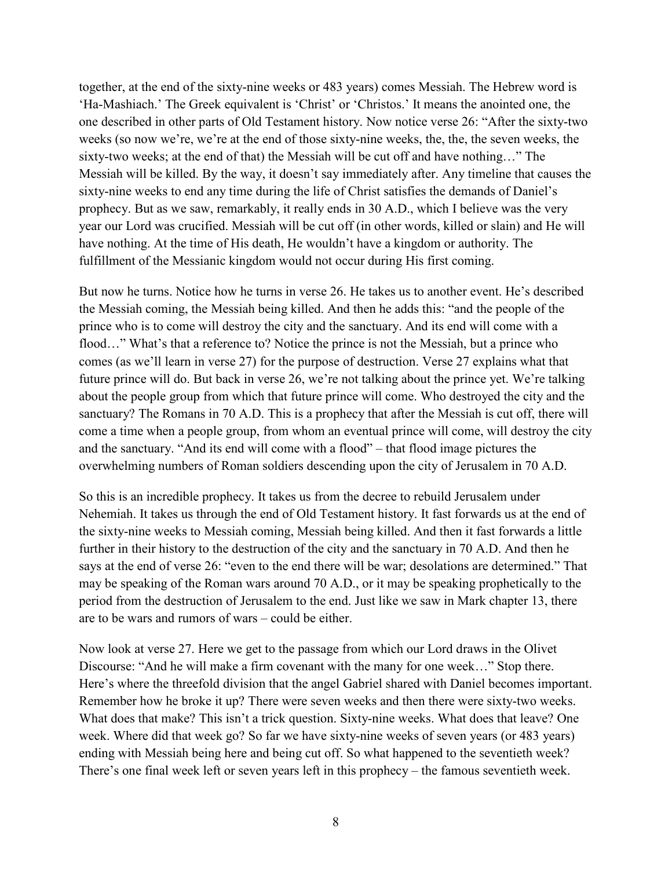together, at the end of the sixty-nine weeks or 483 years) comes Messiah. The Hebrew word is 'Ha-Mashiach.' The Greek equivalent is 'Christ' or 'Christos.' It means the anointed one, the one described in other parts of Old Testament history. Now notice verse 26: "After the sixty-two weeks (so now we're, we're at the end of those sixty-nine weeks, the, the, the seven weeks, the sixty-two weeks; at the end of that) the Messiah will be cut off and have nothing…" The Messiah will be killed. By the way, it doesn't say immediately after. Any timeline that causes the sixty-nine weeks to end any time during the life of Christ satisfies the demands of Daniel's prophecy. But as we saw, remarkably, it really ends in 30 A.D., which I believe was the very year our Lord was crucified. Messiah will be cut off (in other words, killed or slain) and He will have nothing. At the time of His death, He wouldn't have a kingdom or authority. The fulfillment of the Messianic kingdom would not occur during His first coming.

But now he turns. Notice how he turns in verse 26. He takes us to another event. He's described the Messiah coming, the Messiah being killed. And then he adds this: "and the people of the prince who is to come will destroy the city and the sanctuary. And its end will come with a flood..." What's that a reference to? Notice the prince is not the Messiah, but a prince who comes (as we'll learn in verse 27) for the purpose of destruction. Verse 27 explains what that future prince will do. But back in verse 26, we're not talking about the prince yet. We're talking about the people group from which that future prince will come. Who destroyed the city and the sanctuary? The Romans in 70 A.D. This is a prophecy that after the Messiah is cut off, there will come a time when a people group, from whom an eventual prince will come, will destroy the city and the sanctuary. "And its end will come with a flood" – that flood image pictures the overwhelming numbers of Roman soldiers descending upon the city of Jerusalem in 70 A.D.

So this is an incredible prophecy. It takes us from the decree to rebuild Jerusalem under Nehemiah. It takes us through the end of Old Testament history. It fast forwards us at the end of the sixty-nine weeks to Messiah coming, Messiah being killed. And then it fast forwards a little further in their history to the destruction of the city and the sanctuary in 70 A.D. And then he says at the end of verse 26: "even to the end there will be war; desolations are determined." That may be speaking of the Roman wars around 70 A.D., or it may be speaking prophetically to the period from the destruction of Jerusalem to the end. Just like we saw in Mark chapter 13, there are to be wars and rumors of wars – could be either.

Now look at verse 27. Here we get to the passage from which our Lord draws in the Olivet Discourse: "And he will make a firm covenant with the many for one week…" Stop there. Here's where the threefold division that the angel Gabriel shared with Daniel becomes important. Remember how he broke it up? There were seven weeks and then there were sixty-two weeks. What does that make? This isn't a trick question. Sixty-nine weeks. What does that leave? One week. Where did that week go? So far we have sixty-nine weeks of seven years (or 483 years) ending with Messiah being here and being cut off. So what happened to the seventieth week? There's one final week left or seven years left in this prophecy – the famous seventieth week.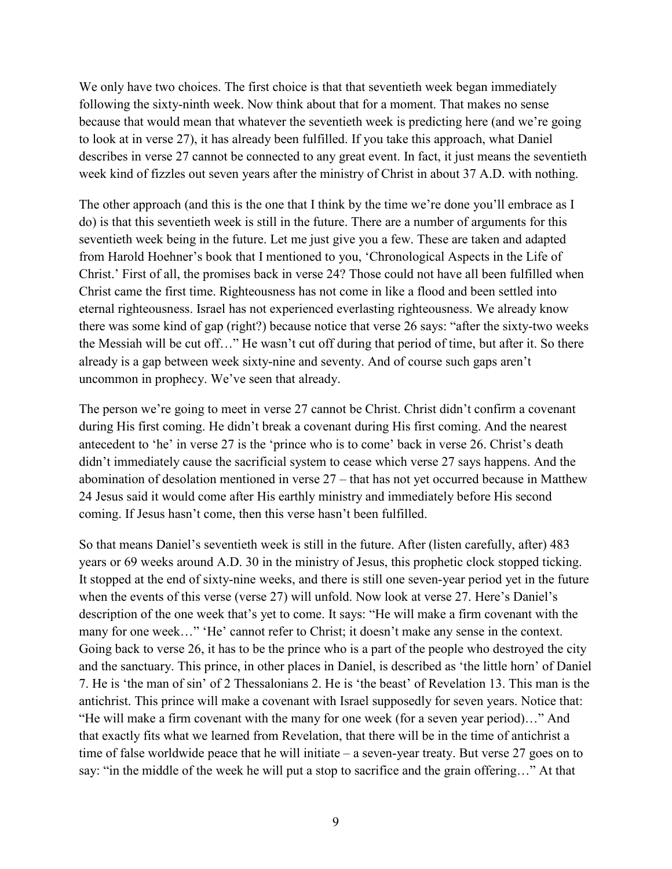We only have two choices. The first choice is that that seventieth week began immediately following the sixty-ninth week. Now think about that for a moment. That makes no sense because that would mean that whatever the seventieth week is predicting here (and we're going to look at in verse 27), it has already been fulfilled. If you take this approach, what Daniel describes in verse 27 cannot be connected to any great event. In fact, it just means the seventieth week kind of fizzles out seven years after the ministry of Christ in about 37 A.D. with nothing.

The other approach (and this is the one that I think by the time we're done you'll embrace as I do) is that this seventieth week is still in the future. There are a number of arguments for this seventieth week being in the future. Let me just give you a few. These are taken and adapted from Harold Hoehner's book that I mentioned to you, 'Chronological Aspects in the Life of Christ.' First of all, the promises back in verse 24? Those could not have all been fulfilled when Christ came the first time. Righteousness has not come in like a flood and been settled into eternal righteousness. Israel has not experienced everlasting righteousness. We already know there was some kind of gap (right?) because notice that verse 26 says: "after the sixty-two weeks the Messiah will be cut off…" He wasn't cut off during that period of time, but after it. So there already is a gap between week sixty-nine and seventy. And of course such gaps aren't uncommon in prophecy. We've seen that already.

The person we're going to meet in verse 27 cannot be Christ. Christ didn't confirm a covenant during His first coming. He didn't break a covenant during His first coming. And the nearest antecedent to 'he' in verse 27 is the 'prince who is to come' back in verse 26. Christ's death didn't immediately cause the sacrificial system to cease which verse 27 says happens. And the abomination of desolation mentioned in verse 27 – that has not yet occurred because in Matthew 24 Jesus said it would come after His earthly ministry and immediately before His second coming. If Jesus hasn't come, then this verse hasn't been fulfilled.

So that means Daniel's seventieth week is still in the future. After (listen carefully, after) 483 years or 69 weeks around A.D. 30 in the ministry of Jesus, this prophetic clock stopped ticking. It stopped at the end of sixty-nine weeks, and there is still one seven-year period yet in the future when the events of this verse (verse 27) will unfold. Now look at verse 27. Here's Daniel's description of the one week that's yet to come. It says: "He will make a firm covenant with the many for one week…" 'He' cannot refer to Christ; it doesn't make any sense in the context. Going back to verse 26, it has to be the prince who is a part of the people who destroyed the city and the sanctuary. This prince, in other places in Daniel, is described as 'the little horn' of Daniel 7. He is 'the man of sin' of 2 Thessalonians 2. He is 'the beast' of Revelation 13. This man is the antichrist. This prince will make a covenant with Israel supposedly for seven years. Notice that: "He will make a firm covenant with the many for one week (for a seven year period)…" And that exactly fits what we learned from Revelation, that there will be in the time of antichrist a time of false worldwide peace that he will initiate – a seven-year treaty. But verse 27 goes on to say: "in the middle of the week he will put a stop to sacrifice and the grain offering…" At that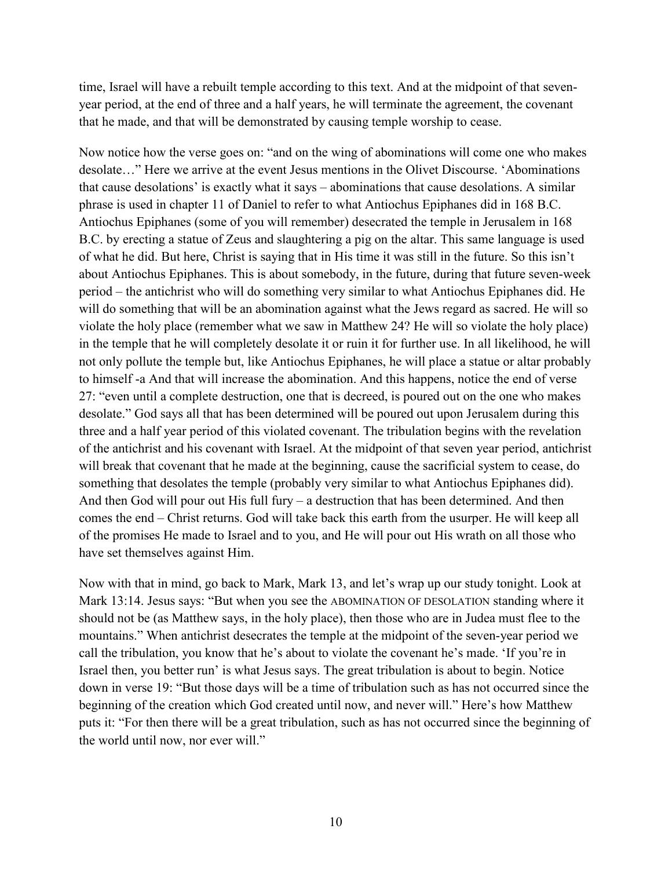time, Israel will have a rebuilt temple according to this text. And at the midpoint of that sevenyear period, at the end of three and a half years, he will terminate the agreement, the covenant that he made, and that will be demonstrated by causing temple worship to cease.

Now notice how the verse goes on: "and on the wing of abominations will come one who makes desolate…" Here we arrive at the event Jesus mentions in the Olivet Discourse. 'Abominations that cause desolations' is exactly what it says – abominations that cause desolations. A similar phrase is used in chapter 11 of Daniel to refer to what Antiochus Epiphanes did in 168 B.C. Antiochus Epiphanes (some of you will remember) desecrated the temple in Jerusalem in 168 B.C. by erecting a statue of Zeus and slaughtering a pig on the altar. This same language is used of what he did. But here, Christ is saying that in His time it was still in the future. So this isn't about Antiochus Epiphanes. This is about somebody, in the future, during that future seven-week period – the antichrist who will do something very similar to what Antiochus Epiphanes did. He will do something that will be an abomination against what the Jews regard as sacred. He will so violate the holy place (remember what we saw in Matthew 24? He will so violate the holy place) in the temple that he will completely desolate it or ruin it for further use. In all likelihood, he will not only pollute the temple but, like Antiochus Epiphanes, he will place a statue or altar probably to himself -a And that will increase the abomination. And this happens, notice the end of verse 27: "even until a complete destruction, one that is decreed, is poured out on the one who makes desolate." God says all that has been determined will be poured out upon Jerusalem during this three and a half year period of this violated covenant. The tribulation begins with the revelation of the antichrist and his covenant with Israel. At the midpoint of that seven year period, antichrist will break that covenant that he made at the beginning, cause the sacrificial system to cease, do something that desolates the temple (probably very similar to what Antiochus Epiphanes did). And then God will pour out His full fury – a destruction that has been determined. And then comes the end – Christ returns. God will take back this earth from the usurper. He will keep all of the promises He made to Israel and to you, and He will pour out His wrath on all those who have set themselves against Him.

Now with that in mind, go back to Mark, Mark 13, and let's wrap up our study tonight. Look at Mark 13:14. Jesus says: "But when you see the ABOMINATION OF DESOLATION standing where it should not be (as Matthew says, in the holy place), then those who are in Judea must flee to the mountains." When antichrist desecrates the temple at the midpoint of the seven-year period we call the tribulation, you know that he's about to violate the covenant he's made. 'If you're in Israel then, you better run' is what Jesus says. The great tribulation is about to begin. Notice down in verse 19: "But those days will be a time of tribulation such as has not occurred since the beginning of the creation which God created until now, and never will." Here's how Matthew puts it: "For then there will be a great tribulation, such as has not occurred since the beginning of the world until now, nor ever will."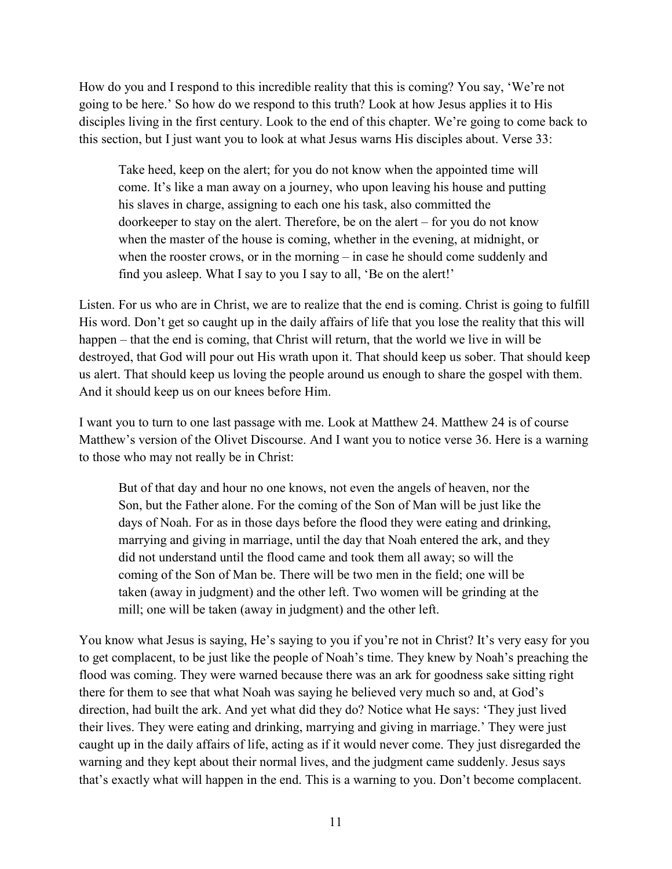How do you and I respond to this incredible reality that this is coming? You say, 'We're not going to be here.' So how do we respond to this truth? Look at how Jesus applies it to His disciples living in the first century. Look to the end of this chapter. We're going to come back to this section, but I just want you to look at what Jesus warns His disciples about. Verse 33:

Take heed, keep on the alert; for you do not know when the appointed time will come. It's like a man away on a journey, who upon leaving his house and putting his slaves in charge, assigning to each one his task, also committed the doorkeeper to stay on the alert. Therefore, be on the alert – for you do not know when the master of the house is coming, whether in the evening, at midnight, or when the rooster crows, or in the morning – in case he should come suddenly and find you asleep. What I say to you I say to all, 'Be on the alert!'

Listen. For us who are in Christ, we are to realize that the end is coming. Christ is going to fulfill His word. Don't get so caught up in the daily affairs of life that you lose the reality that this will happen – that the end is coming, that Christ will return, that the world we live in will be destroyed, that God will pour out His wrath upon it. That should keep us sober. That should keep us alert. That should keep us loving the people around us enough to share the gospel with them. And it should keep us on our knees before Him.

I want you to turn to one last passage with me. Look at Matthew 24. Matthew 24 is of course Matthew's version of the Olivet Discourse. And I want you to notice verse 36. Here is a warning to those who may not really be in Christ:

But of that day and hour no one knows, not even the angels of heaven, nor the Son, but the Father alone. For the coming of the Son of Man will be just like the days of Noah. For as in those days before the flood they were eating and drinking, marrying and giving in marriage, until the day that Noah entered the ark, and they did not understand until the flood came and took them all away; so will the coming of the Son of Man be. There will be two men in the field; one will be taken (away in judgment) and the other left. Two women will be grinding at the mill; one will be taken (away in judgment) and the other left.

You know what Jesus is saying, He's saying to you if you're not in Christ? It's very easy for you to get complacent, to be just like the people of Noah's time. They knew by Noah's preaching the flood was coming. They were warned because there was an ark for goodness sake sitting right there for them to see that what Noah was saying he believed very much so and, at God's direction, had built the ark. And yet what did they do? Notice what He says: 'They just lived their lives. They were eating and drinking, marrying and giving in marriage.' They were just caught up in the daily affairs of life, acting as if it would never come. They just disregarded the warning and they kept about their normal lives, and the judgment came suddenly. Jesus says that's exactly what will happen in the end. This is a warning to you. Don't become complacent.